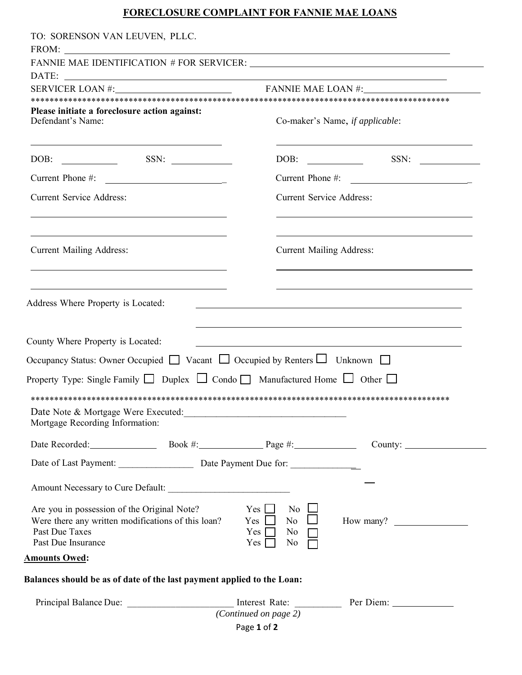## FORECLOSURE COMPLAINT FOR FANNIE MAE LOANS

| TO: SORENSON VAN LEUVEN, PLLC.                                                                                                                                                                                                                                    |                                                                                                                |                                                                                                                                                                                                                                                                                                                                                                                                                                                                                                                                                             |
|-------------------------------------------------------------------------------------------------------------------------------------------------------------------------------------------------------------------------------------------------------------------|----------------------------------------------------------------------------------------------------------------|-------------------------------------------------------------------------------------------------------------------------------------------------------------------------------------------------------------------------------------------------------------------------------------------------------------------------------------------------------------------------------------------------------------------------------------------------------------------------------------------------------------------------------------------------------------|
|                                                                                                                                                                                                                                                                   |                                                                                                                |                                                                                                                                                                                                                                                                                                                                                                                                                                                                                                                                                             |
| DATE:                                                                                                                                                                                                                                                             |                                                                                                                |                                                                                                                                                                                                                                                                                                                                                                                                                                                                                                                                                             |
| SERVICER LOAN #: FANNIE MAE LOAN #:                                                                                                                                                                                                                               |                                                                                                                |                                                                                                                                                                                                                                                                                                                                                                                                                                                                                                                                                             |
| Please initiate a foreclosure action against:<br>Defendant's Name:                                                                                                                                                                                                |                                                                                                                | Co-maker's Name, if applicable:                                                                                                                                                                                                                                                                                                                                                                                                                                                                                                                             |
| SSN:                                                                                                                                                                                                                                                              |                                                                                                                | DOB: SSN:                                                                                                                                                                                                                                                                                                                                                                                                                                                                                                                                                   |
| Current Phone #:                                                                                                                                                                                                                                                  |                                                                                                                | Current Phone #:                                                                                                                                                                                                                                                                                                                                                                                                                                                                                                                                            |
| <b>Current Service Address:</b><br>the control of the control of the control of the control of the control of the control of                                                                                                                                      |                                                                                                                | <b>Current Service Address:</b>                                                                                                                                                                                                                                                                                                                                                                                                                                                                                                                             |
| <u> 1989 - Johann Barn, amerikansk politiker (d. 1989)</u><br><b>Current Mailing Address:</b><br><u> 1989 - Johann John Stone, markin fizikar (h. 1989).</u>                                                                                                      |                                                                                                                | <u> 1989 - Johann Stein, marwolaethau a bhann an t-Amhain Aonaichte ann an t-Amhain Aonaichte ann an t-Amhain Aon</u><br><b>Current Mailing Address:</b>                                                                                                                                                                                                                                                                                                                                                                                                    |
| Address Where Property is Located:                                                                                                                                                                                                                                |                                                                                                                | the control of the control of the control of the control of the control of the control of<br>the control of the control of the control of the control of the control of the control of the control of the control of the control of the control of the control of the control of the control of the control of the control<br>the control of the control of the control of the control of the control of the control of the control of the control of the control of the control of the control of the control of the control of the control of the control |
| County Where Property is Located:                                                                                                                                                                                                                                 |                                                                                                                | the control of the control of the control of the control of the control of the control of the control of the control of the control of the control of the control of the control of the control of the control of the control                                                                                                                                                                                                                                                                                                                               |
| Occupancy Status: Owner Occupied □ Vacant □ Occupied by Renters □ Unknown □                                                                                                                                                                                       |                                                                                                                |                                                                                                                                                                                                                                                                                                                                                                                                                                                                                                                                                             |
| Property Type: Single Family $\Box$ Duplex $\Box$ Condo $\Box$ Manufactured Home $\Box$ Other $\Box$                                                                                                                                                              |                                                                                                                |                                                                                                                                                                                                                                                                                                                                                                                                                                                                                                                                                             |
|                                                                                                                                                                                                                                                                   |                                                                                                                |                                                                                                                                                                                                                                                                                                                                                                                                                                                                                                                                                             |
| Date Note & Mortgage Were Executed: Note 3 and 2 and 2 and 2 and 2 and 2 and 2 and 2 and 2 and 2 and 2 and 2 and 2 and 2 and 2 and 2 and 2 and 2 and 2 and 2 and 2 and 2 and 2 and 2 and 2 and 2 and 2 and 2 and 2 and 2 and 2<br>Mortgage Recording Information: |                                                                                                                |                                                                                                                                                                                                                                                                                                                                                                                                                                                                                                                                                             |
| Date Recorded: Book #: Page #:                                                                                                                                                                                                                                    |                                                                                                                |                                                                                                                                                                                                                                                                                                                                                                                                                                                                                                                                                             |
| Date of Last Payment: Date Payment Due for:                                                                                                                                                                                                                       |                                                                                                                |                                                                                                                                                                                                                                                                                                                                                                                                                                                                                                                                                             |
|                                                                                                                                                                                                                                                                   |                                                                                                                |                                                                                                                                                                                                                                                                                                                                                                                                                                                                                                                                                             |
| Are you in possession of the Original Note?<br>Were there any written modifications of this loan?<br>Past Due Taxes<br>Past Due Insurance                                                                                                                         | Yes l<br>$\overline{N_0}$<br>No $\Box$<br>$Yes \Box$<br>Yes $\Box$<br>$No \ \ \Box$<br>Yes $\Box$<br>No $\Box$ | How many?                                                                                                                                                                                                                                                                                                                                                                                                                                                                                                                                                   |
| <b>Amounts Owed:</b>                                                                                                                                                                                                                                              |                                                                                                                |                                                                                                                                                                                                                                                                                                                                                                                                                                                                                                                                                             |
| Balances should be as of date of the last payment applied to the Loan:                                                                                                                                                                                            |                                                                                                                |                                                                                                                                                                                                                                                                                                                                                                                                                                                                                                                                                             |
| Principal Balance Due: __________________________ Interest Rate: _____________ Per Diem: ___________                                                                                                                                                              | (Continued on page 2)                                                                                          |                                                                                                                                                                                                                                                                                                                                                                                                                                                                                                                                                             |